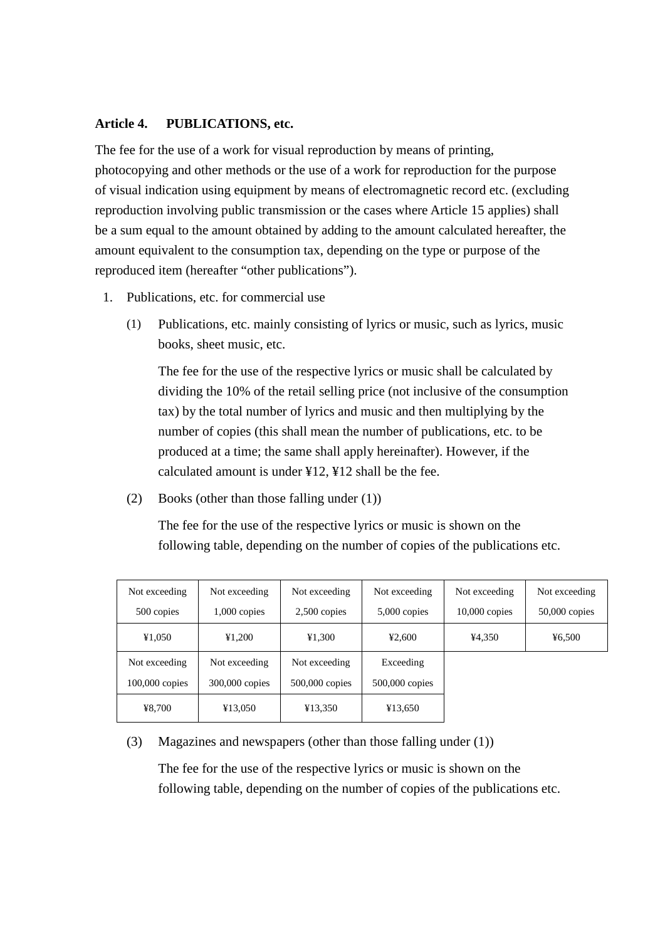## **Article 4. PUBLICATIONS, etc.**

The fee for the use of a work for visual reproduction by means of printing, photocopying and other methods or the use of a work for reproduction for the purpose of visual indication using equipment by means of electromagnetic record etc. (excluding reproduction involving public transmission or the cases where Article 15 applies) shall be a sum equal to the amount obtained by adding to the amount calculated hereafter, the amount equivalent to the consumption tax, depending on the type or purpose of the reproduced item (hereafter "other publications").

- 1. Publications, etc. for commercial use
	- (1) Publications, etc. mainly consisting of lyrics or music, such as lyrics, music books, sheet music, etc.

The fee for the use of the respective lyrics or music shall be calculated by dividing the 10% of the retail selling price (not inclusive of the consumption tax) by the total number of lyrics and music and then multiplying by the number of copies (this shall mean the number of publications, etc. to be produced at a time; the same shall apply hereinafter). However, if the calculated amount is under ¥12, ¥12 shall be the fee.

(2) Books (other than those falling under (1))

The fee for the use of the respective lyrics or music is shown on the following table, depending on the number of copies of the publications etc.

| Not exceeding    | Not exceeding  | Not exceeding    | Not exceeding    | Not exceeding   | Not exceeding   |
|------------------|----------------|------------------|------------------|-----------------|-----------------|
| 500 copies       | $1,000$ copies | $2,500$ copies   | $5,000$ copies   | $10,000$ copies | $50,000$ copies |
| ¥1,050           | ¥1,200         | ¥1,300           | 42,600           | ¥4,350          | 46,500          |
| Not exceeding    | Not exceeding  | Not exceeding    | Exceeding        |                 |                 |
| $100,000$ copies | 300,000 copies | $500,000$ copies | $500,000$ copies |                 |                 |
| ¥8,700           | ¥13,050        | ¥13,350          | ¥13,650          |                 |                 |

(3) Magazines and newspapers (other than those falling under (1))

The fee for the use of the respective lyrics or music is shown on the following table, depending on the number of copies of the publications etc.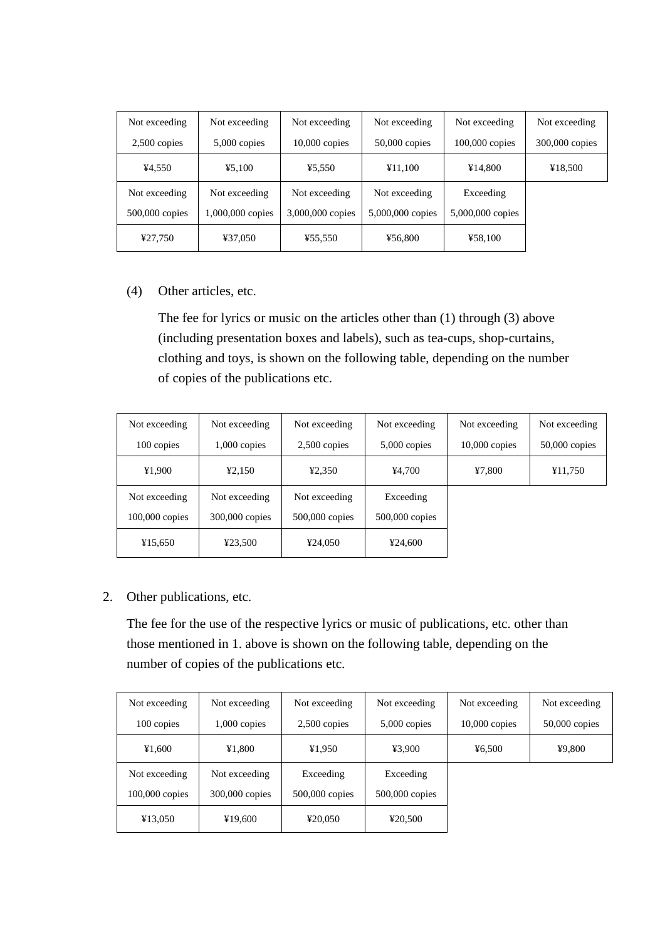| Not exceeding  | Not exceeding    | Not exceeding    | Not exceeding    | Not exceeding    | Not exceeding  |
|----------------|------------------|------------------|------------------|------------------|----------------|
| $2,500$ copies | $5,000$ copies   | $10,000$ copies  | $50,000$ copies  | $100,000$ copies | 300,000 copies |
| ¥4,550         | 45,100           | ¥5,550           | ¥11,100          | ¥14,800          | ¥18,500        |
| Not exceeding  | Not exceeding    | Not exceeding    | Not exceeding    | Exceeding        |                |
| 500,000 copies | 1,000,000 copies | 3,000,000 copies | 5,000,000 copies | 5,000,000 copies |                |
| ¥27,750        | ¥37,050          | ¥55,550          | ¥56,800          | ¥58,100          |                |

## (4) Other articles, etc.

The fee for lyrics or music on the articles other than (1) through (3) above (including presentation boxes and labels), such as tea-cups, shop-curtains, clothing and toys, is shown on the following table, depending on the number of copies of the publications etc.

| Not exceeding    | Not exceeding  | Not exceeding    | Not exceeding  | Not exceeding   | Not exceeding   |
|------------------|----------------|------------------|----------------|-----------------|-----------------|
| 100 copies       | $1,000$ copies | $2,500$ copies   | $5,000$ copies | $10,000$ copies | $50,000$ copies |
| ¥1,900           | 42,150         | 42,350           | ¥4,700         | ¥7,800          | ¥11,750         |
| Not exceeding    | Not exceeding  | Not exceeding    | Exceeding      |                 |                 |
| $100,000$ copies | 300,000 copies | $500,000$ copies | 500,000 copies |                 |                 |
| ¥15,650          | ¥23,500        | 424,050          | ¥24,600        |                 |                 |

## 2. Other publications, etc.

The fee for the use of the respective lyrics or music of publications, etc. other than those mentioned in 1. above is shown on the following table, depending on the number of copies of the publications etc.

| Not exceeding    | Not exceeding  | Not exceeding  | Not exceeding  | Not exceeding   | Not exceeding   |
|------------------|----------------|----------------|----------------|-----------------|-----------------|
| 100 copies       | $1,000$ copies | $2,500$ copies | $5,000$ copies | $10,000$ copies | $50,000$ copies |
| ¥1,600           | ¥1,800         | ¥1.950         | ¥3,900         | ¥6,500          | ¥9,800          |
| Not exceeding    | Not exceeding  | Exceeding      | Exceeding      |                 |                 |
| $100,000$ copies | 300,000 copies | 500,000 copies | 500,000 copies |                 |                 |
| ¥13,050          | ¥19,600        | ¥20,050        | ¥20,500        |                 |                 |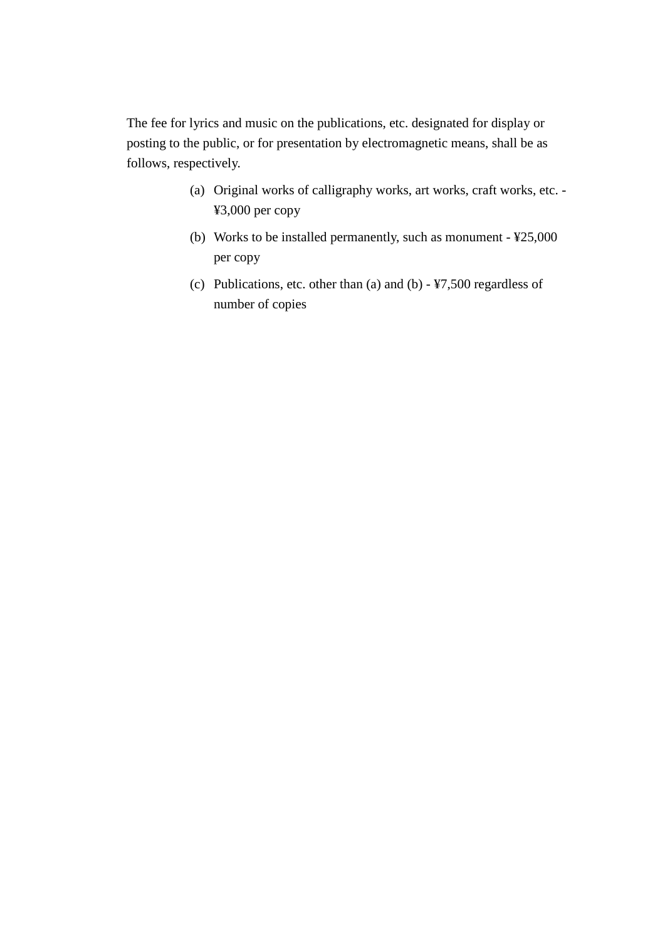The fee for lyrics and music on the publications, etc. designated for display or posting to the public, or for presentation by electromagnetic means, shall be as follows, respectively.

- (a) Original works of calligraphy works, art works, craft works, etc. ¥3,000 per copy
- (b) Works to be installed permanently, such as monument ¥25,000 per copy
- (c) Publications, etc. other than (a) and (b) ¥7,500 regardless of number of copies